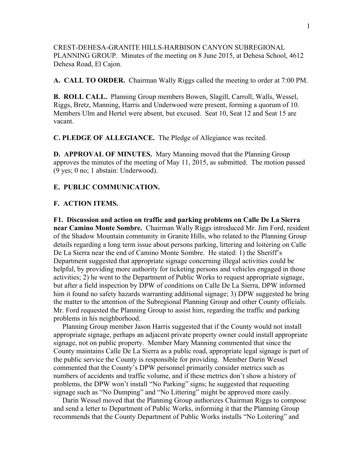CREST-DEHESA-GRANITE HILLS-HARBISON CANYON SUBREGIONAL PLANNING GROUP. Minutes of the meeting on 8 June 2015, at Dehesa School, 4612 Dehesa Road, El Cajon.

**A. CALL TO ORDER.** Chairman Wally Riggs called the meeting to order at 7:00 PM.

**B. ROLL CALL.** Planning Group members Bowen, Slagill, Carroll, Walls, Wessel, Riggs, Bretz, Manning, Harris and Underwood were present, forming a quorum of 10. Members Ulm and Hertel were absent, but excused. Seat 10, Seat 12 and Seat 15 are vacant.

**C. PLEDGE OF ALLEGIANCE.** The Pledge of Allegiance was recited.

**D. APPROVAL OF MINUTES.** Mary Manning moved that the Planning Group approves the minutes of the meeting of May 11, 2015, as submitted. The motion passed (9 yes; 0 no; 1 abstain: Underwood).

## **E. PUBLIC COMMUNICATION.**

## **F. ACTION ITEMS.**

**F1. Discussion and action on traffic and parking problems on Calle De La Sierra near Camino Monte Sombre.** Chairman Wally Riggs introduced Mr. Jim Ford, resident of the Shadow Mountain community in Granite Hills, who related to the Planning Group details regarding a long term issue about persons parking, littering and loitering on Calle De La Sierra near the end of Camino Monte Sombre. He stated: 1) the Sheriff's Department suggested that appropriate signage concerning illegal activities could be helpful, by providing more authority for ticketing persons and vehicles engaged in those activities; 2) he went to the Department of Public Works to request appropriate signage, but after a field inspection by DPW of conditions on Calle De La Sierra, DPW informed him it found no safety hazards warranting additional signage; 3) DPW suggested he bring the matter to the attention of the Subregional Planning Group and other County officials. Mr. Ford requested the Planning Group to assist him, regarding the traffic and parking problems in his neighborhood.

 Planning Group member Jason Harris suggested that if the County would not install appropriate signage, perhaps an adjacent private property owner could install appropriate signage, not on public property. Member Mary Manning commented that since the County maintains Calle De La Sierra as a public road, appropriate legal signage is part of the public service the County is responsible for providing. Member Darin Wessel commented that the County's DPW personnel primarily consider metrics such as numbers of accidents and traffic volume, and if these metrics don't show a history of problems, the DPW won't install "No Parking" signs; he suggested that requesting signage such as "No Dumping" and "No Littering" might be approved more easily.

 Darin Wessel moved that the Planning Group authorizes Chairman Riggs to compose and send a letter to Department of Public Works, informing it that the Planning Group recommends that the County Department of Public Works installs "No Loitering" and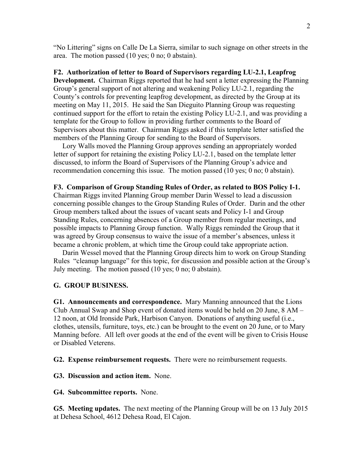"No Littering" signs on Calle De La Sierra, similar to such signage on other streets in the area. The motion passed (10 yes; 0 no; 0 abstain).

**F2. Authorization of letter to Board of Supervisors regarding LU-2.1, Leapfrog Development.** Chairman Riggs reported that he had sent a letter expressing the Planning Group's general support of not altering and weakening Policy LU-2.1, regarding the County's controls for preventing leapfrog development, as directed by the Group at its meeting on May 11, 2015. He said the San Dieguito Planning Group was requesting continued support for the effort to retain the existing Policy LU-2.1, and was providing a template for the Group to follow in providing further comments to the Board of Supervisors about this matter. Chairman Riggs asked if this template letter satisfied the members of the Planning Group for sending to the Board of Supervisors.

 Lory Walls moved the Planning Group approves sending an appropriately worded letter of support for retaining the existing Policy LU-2.1, based on the template letter discussed, to inform the Board of Supervisors of the Planning Group's advice and recommendation concerning this issue. The motion passed (10 yes; 0 no; 0 abstain).

## **F3. Comparison of Group Standing Rules of Order, as related to BOS Policy I-1.**

Chairman Riggs invited Planning Group member Darin Wessel to lead a discussion concerning possible changes to the Group Standing Rules of Order. Darin and the other Group members talked about the issues of vacant seats and Policy I-1 and Group Standing Rules, concerning absences of a Group member from regular meetings, and possible impacts to Planning Group function. Wally Riggs reminded the Group that it was agreed by Group consensus to waive the issue of a member's absences, unless it became a chronic problem, at which time the Group could take appropriate action.

 Darin Wessel moved that the Planning Group directs him to work on Group Standing Rules "cleanup language" for this topic, for discussion and possible action at the Group's July meeting. The motion passed (10 yes; 0 no; 0 abstain).

## **G. GROUP BUSINESS.**

**G1. Announcements and correspondence.** Mary Manning announced that the Lions Club Annual Swap and Shop event of donated items would be held on 20 June, 8 AM – 12 noon, at Old Ironside Park, Harbison Canyon. Donations of anything useful (i.e., clothes, utensils, furniture, toys, etc.) can be brought to the event on 20 June, or to Mary Manning before. All left over goods at the end of the event will be given to Crisis House or Disabled Veterens.

**G2. Expense reimbursement requests.** There were no reimbursement requests.

**G3. Discussion and action item.** None.

**G4. Subcommittee reports.** None.

**G5. Meeting updates.** The next meeting of the Planning Group will be on 13 July 2015 at Dehesa School, 4612 Dehesa Road, El Cajon.